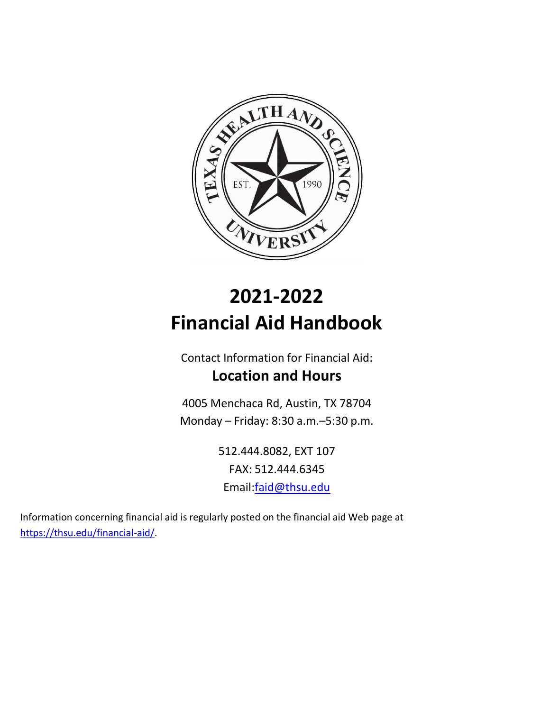

# **2021-2022 Financial Aid Handbook**

Contact Information for Financial Aid: **Location and Hours**

4005 Menchaca Rd, Austin, TX 78704 Monday – Friday: 8:30 a.m.–5:30 p.m.

> 512.444.8082, EXT 107 FAX: 512.444.6345 Email:faid@thsu.edu

Information concerning financial aid is regularly posted on the financial aid Web page at [https://thsu.edu/financial-aid/.](https://thsu.edu/financial-aid/)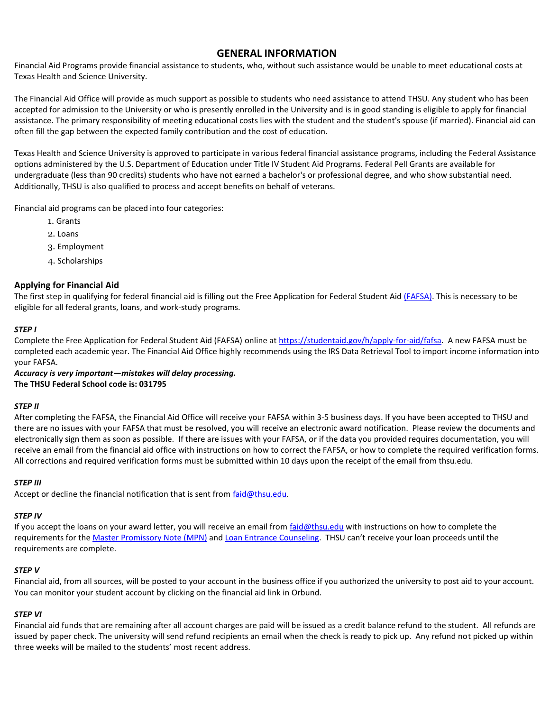# **GENERAL INFORMATION**

Financial Aid Programs provide financial assistance to students, who, without such assistance would be unable to meet educational costs at Texas Health and Science University.

The Financial Aid Office will provide as much support as possible to students who need assistance to attend THSU. Any student who has been accepted for admission to the University or who is presently enrolled in the University and is in good standing is eligible to apply for financial assistance. The primary responsibility of meeting educational costs lies with the student and the student's spouse (if married). Financial aid can often fill the gap between the expected family contribution and the cost of education.

Texas Health and Science University is approved to participate in various federal financial assistance programs, including the Federal Assistance options administered by the U.S. Department of Education under Title IV Student Aid Programs. Federal Pell Grants are available for undergraduate (less than 90 credits) students who have not earned a bachelor's or professional degree, and who show substantial need. Additionally, THSU is also qualified to process and accept benefits on behalf of veterans.

Financial aid programs can be placed into four categories:

- 1. Grants
- 2. Loans
- 3. Employment
- 4. Scholarships

# **Applying for Financial Aid**

The first step in qualifying for federal financial aid is filling out the Free Application for Federal Student Aid [\(FAFSA\).](https://studentaid.gov/h/apply-for-aid/fafsa) This is necessary to be eligible for all federal grants, loans, and work-study programs.

#### *STEP I*

Complete the Free Application for Federal Student Aid (FAFSA) online a[t https://studentaid.gov/h/apply-for-aid/fafsa.](https://studentaid.gov/h/apply-for-aid/fafsa) A new FAFSA must be completed each academic year. The Financial Aid Office highly recommends using the IRS Data Retrieval Tool to import income information into your FAFSA.

*Accuracy is very important—mistakes will delay processing.*  **The THSU Federal School code is: 031795** 

# *STEP II*

After completing the FAFSA, the Financial Aid Office will receive your FAFSA within 3-5 business days. If you have been accepted to THSU and there are no issues with your FAFSA that must be resolved, you will receive an electronic award notification. Please review the documents and electronically sign them as soon as possible. If there are issues with your FAFSA, or if the data you provided requires documentation, you will receive an email from the financial aid office with instructions on how to correct the FAFSA, or how to complete the required verification forms. All corrections and required verification forms must be submitted within 10 days upon the receipt of the email from thsu.edu.

#### *STEP III*

Accept or decline the financial notification that is sent from [faid@thsu.edu.](mailto:faid@thsu.edu)

#### *STEP IV*

If you accept the loans on your award letter, you will receive an email from *faid@thsu.edu* with instructions on how to complete the requirements for the [Master Promissory Note](https://studentaid.gov/mpn/) (MPN) an[d Loan Entrance Counseling](https://studentaid.gov/entrance-counseling/). THSU can't receive your loan proceeds until the requirements are complete.

#### *STEP V*

Financial aid, from all sources, will be posted to your account in the business office if you authorized the university to post aid to your account. You can monitor your student account by clicking on the financial aid link in Orbund.

#### *STEP VI*

Financial aid funds that are remaining after all account charges are paid will be issued as a credit balance refund to the student. All refunds are issued by paper check. The university will send refund recipients an email when the check is ready to pick up. Any refund not picked up within three weeks will be mailed to the students' most recent address.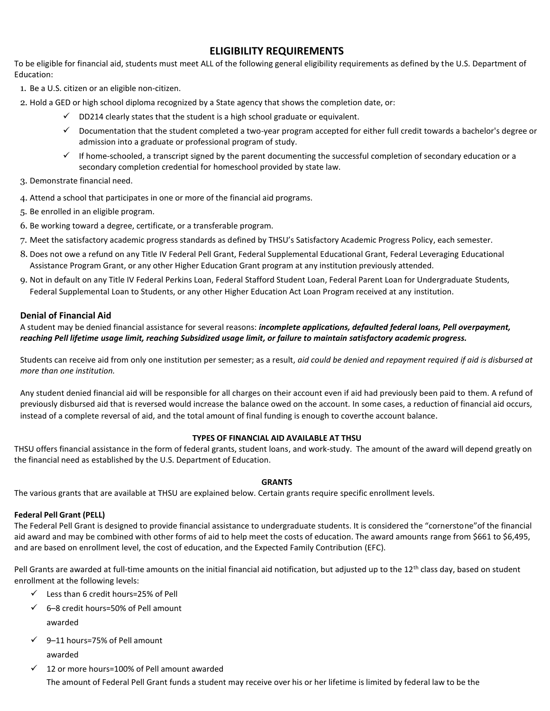# **ELIGIBILITY REQUIREMENTS**

To be eligible for financial aid, students must meet ALL of the following general eligibility requirements as defined by the U.S. Department of Education:

- 1. Be a U.S. citizen or an eligible non-citizen.
- 2. Hold a GED or high school diploma recognized by a State agency that shows the completion date, or:
	- $\checkmark$  DD214 clearly states that the student is a high school graduate or equivalent.
	- $\checkmark$  Documentation that the student completed a two-year program accepted for either full credit towards a bachelor's degree or admission into a graduate or professional program of study.
	- $\checkmark$  If home-schooled, a transcript signed by the parent documenting the successful completion of secondary education or a secondary completion credential for homeschool provided by state law.
- 3. Demonstrate financial need.
- 4. Attend a school that participates in one or more of the financial aid programs.
- 5. Be enrolled in an eligible program.
- 6. Be working toward a degree, certificate, or a transferable program.
- 7. Meet the satisfactory academic progress standards as defined by THSU's Satisfactory Academic Progress Policy, each semester.
- 8. Does not owe a refund on any Title IV Federal Pell Grant, Federal Supplemental Educational Grant, Federal Leveraging Educational Assistance Program Grant, or any other Higher Education Grant program at any institution previously attended.
- 9. Not in default on any Title IV Federal Perkins Loan, Federal Stafford Student Loan, Federal Parent Loan for Undergraduate Students, Federal Supplemental Loan to Students, or any other Higher Education Act Loan Program received at any institution.

# **Denial of Financial Aid**

# A student may be denied financial assistance for several reasons: *incomplete applications, defaulted federal loans, Pell overpayment, reaching Pell lifetime usage limit, reaching Subsidized usage limit, or failure to maintain satisfactory academic progress.*

Students can receive aid from only one institution per semester; as a result, *aid could be denied and repayment required if aid is disbursed at more than one institution.*

Any student denied financial aid will be responsible for all charges on their account even if aid had previously been paid to them. A refund of previously disbursed aid that is reversed would increase the balance owed on the account. In some cases, a reduction of financial aid occurs, instead of a complete reversal of aid, and the total amount of final funding is enough to coverthe account balance.

# **TYPES OF FINANCIAL AID AVAILABLE AT THSU**

THSU offers financial assistance in the form of federal grants, student loans, and work-study. The amount of the award will depend greatly on the financial need as established by the U.S. Department of Education.

# **GRANTS**

The various grants that are available at THSU are explained below. Certain grants require specific enrollment levels.

# **Federal Pell Grant (PELL)**

The Federal Pell Grant is designed to provide financial assistance to undergraduate students. It is considered the "cornerstone"of the financial aid award and may be combined with other forms of aid to help meet the costs of education. The award amounts range from \$661 to \$6,495, and are based on enrollment level, the cost of education, and the Expected Family Contribution (EFC).

Pell Grants are awarded at full-time amounts on the initial financial aid notification, but adjusted up to the  $12<sup>th</sup>$  class day, based on student enrollment at the following levels:

- $\checkmark$  Less than 6 credit hours=25% of Pell
- $6-8$  credit hours=50% of Pell amount awarded
- $\checkmark$  9–11 hours=75% of Pell amount awarded
- $\checkmark$  12 or more hours=100% of Pell amount awarded The amount of Federal Pell Grant funds a student may receive over his or her lifetime is limited by federal law to be the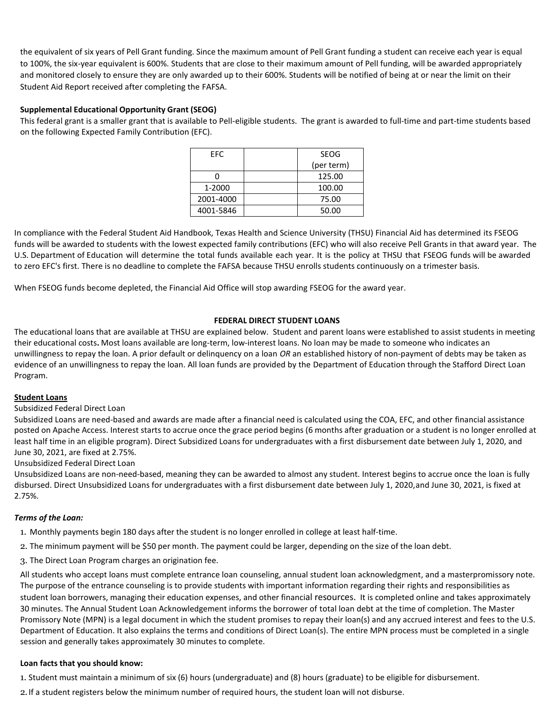the equivalent of six years of Pell Grant funding. Since the maximum amount of Pell Grant funding a student can receive each year is equal to 100%, the six-year equivalent is 600%. Students that are close to their maximum amount of Pell funding, will be awarded appropriately and monitored closely to ensure they are only awarded up to their 600%. Students will be notified of being at or near the limit on their Student Aid Report received after completing the FAFSA. Students are encouraged to take 15 credits per term to avoid meeting the 600% maximum Pell grant and to lower student loan borrowing.

# **Supplemental Educational Opportunity Grant (SEOG)**

This federal grant is a smaller grant that is available to Pell-eligible students. The grant is awarded to full-time and part-time students based on the following Expected Family Contribution (EFC).

| FFC.      | SEOG       |
|-----------|------------|
|           | (per term) |
|           | 125.00     |
| 1-2000    | 100.00     |
| 2001-4000 | 75.00      |
| 4001-5846 | 50.00      |

In compliance with the Federal Student Aid Handbook, Texas Health and Science University (THSU) Financial Aid has determined its FSEOG funds will be awarded to students with the lowest expected family contributions (EFC) who will also receive Pell Grants in that award year. The U.S. Department of Education will determine the total funds available each year. It is the policy at THSU that FSEOG funds will be awarded to zero EFC's first. There is no deadline to complete the FAFSA because THSU enrolls students continuously on a trimester basis.

When FSEOG funds become depleted, the Financial Aid Office will stop awarding FSEOG for the award year.

# **FEDERAL DIRECT STUDENT LOANS**

The educational loans that are available at THSU are explained below. Student and parent loans were established to assist students in meeting their educational costs**.** Most loans available are long-term, low-interest loans. No loan may be made to someone who indicates an unwillingness to repay the loan. A prior default or delinquency on a loan *OR* an established history of non-payment of debts may be taken as evidence of an unwillingness to repay the loan. All loan funds are provided by the Department of Education through the Stafford Direct Loan Program.

# **Student Loans**

# Subsidized Federal Direct Loan

Subsidized Loans are need-based and awards are made after a financial need is calculated using the COA, EFC, and other financial assistance posted on Apache Access. Interest starts to accrue once the grace period begins (6 months after graduation or a student is no longer enrolled at least half time in an eligible program). Direct Subsidized Loans for undergraduates with a first disbursement date between July 1, 2020, and June 30, 2021, are fixed at 2.75%.

# Unsubsidized Federal Direct Loan

Unsubsidized Loans are non-need-based, meaning they can be awarded to almost any student. Interest begins to accrue once the loan is fully disbursed. Direct Unsubsidized Loans for undergraduates with a first disbursement date between July 1, 2020, and June 30, 2021, is fixed at 2.75%.

# *Terms of the Loan:*

- 1. Monthly payments begin 180 days after the student is no longer enrolled in college at least half-time.
- 2. The minimum payment will be \$50 per month. The payment could be larger, depending on the size of the loan debt.
- 3. The Direct Loan Program charges an origination fee.

All students who accept loans must complete entrance loan counseling, annual student loan acknowledgment, and a master promissory note. The purpose of the entrance counseling is to provide students with important information regarding their rights and responsibilities as student loan borrowers, managing their education expenses, and other financial resources. It is completed online and takes approximately 30 minutes. The Annual Student Loan Acknowledgement informs the borrower of total loan debt at the time of completion. The Master Promissory Note (MPN) is a legal document in which the student promises to repay their loan(s) and any accrued interest and fees to the U.S. Department of Education. It also explains the terms and conditions of Direct Loan(s). The entire MPN process must be completed in a single session and generally takes approximately 30 minutes to complete.

# **Loan facts that you should know:**

1. Student must maintain a minimum of six (6) hours (undergraduate) and (8) hours (graduate) to be eligible for disbursement.

2.If a student registers below the minimum number of required hours, the student loan will not disburse.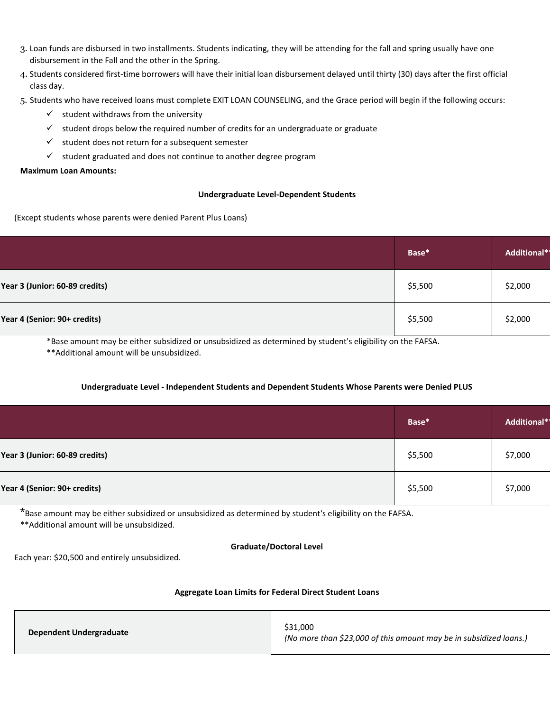- 3. Loan funds are disbursed in two installments. Students indicating, they will be attending for the fall and spring usually have one disbursement in the Fall and the other in the Spring.
- 4. Students considered first-time borrowers will have their initial loan disbursement delayed until thirty (30) days after the first official class day.
- 5. Students who have received loans must complete EXIT LOAN COUNSELING, and the Grace period will begin if the following occurs:
	- $\checkmark$  student withdraws from the university
	- $\checkmark$  student drops below the required number of credits for an undergraduate or graduate
	- $\checkmark$  student does not return for a subsequent semester
	- $\checkmark$  student graduated and does not continue to another degree program

#### **Maximum Loan Amounts:**

#### **Undergraduate Level-Dependent Students**

(Except students whose parents were denied Parent Plus Loans)

|                                | Base*   | Additional* |
|--------------------------------|---------|-------------|
| Year 3 (Junior: 60-89 credits) | \$5,500 | \$2,000     |
| Year 4 (Senior: 90+ credits)   | \$5,500 | \$2,000     |

\*Base amount may be either subsidized or unsubsidized as determined by student's eligibility on the FAFSA.

\*\*Additional amount will be unsubsidized.

#### **Undergraduate Level - Independent Students and Dependent Students Whose Parents were Denied PLUS**

|                                | Base*   | Additional* |
|--------------------------------|---------|-------------|
| Year 3 (Junior: 60-89 credits) | \$5,500 | \$7,000     |
| Year 4 (Senior: 90+ credits)   | \$5,500 | \$7,000     |

\*Base amount may be either subsidized or unsubsidized as determined by student's eligibility on the FAFSA.

\*\*Additional amount will be unsubsidized.

#### **Graduate/Doctoral Level**

Each year: \$20,500 and entirely unsubsidized.

#### **Aggregate Loan Limits for Federal Direct Student Loans**

| Dependent Undergraduate | \$31,000<br>(No more than \$23,000 of this amount may be in subsidized loans.) |
|-------------------------|--------------------------------------------------------------------------------|
|-------------------------|--------------------------------------------------------------------------------|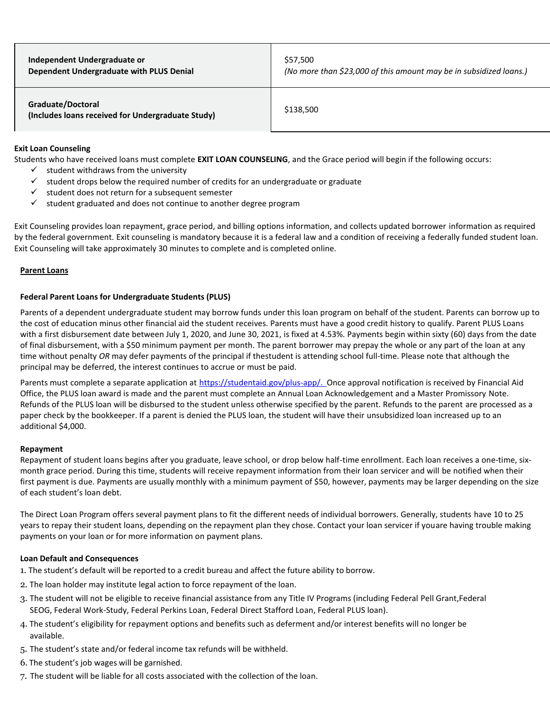**Independent Undergraduate or Dependent Undergraduate with PLUS Denial** \$57,500 *(No more than \$23,000 of this amount may be in subsidized loans.)*

#### **Graduate/Doctoral**

**(Includes loans received for Undergraduate Study)** \$138,500

#### **Exit Loan Counseling**

Students who have received loans must complete **EXIT LOAN COUNSELING**, and the Grace period will begin if the following occurs:

- $\checkmark$  student withdraws from the university
- $\checkmark$  student drops below the required number of credits for an undergraduate or graduate
- $\checkmark$  student does not return for a subsequent semester
- $\checkmark$  student graduated and does not continue to another degree program

Exit Counseling provides loan repayment, grace period, and billing options information, and collects updated borrower information as required by the federal government. Exit counseling is mandatory because it is a federal law and a condition of receiving a federally funded student loan. Exit Counseling will take approximately 30 minutes to complete and is completed online.

#### **Parent Loans**

#### **Federal Parent Loans for Undergraduate Students (PLUS)**

Parents of a dependent undergraduate student may borrow funds under this loan program on behalf of the student. Parents can borrow up to the cost of education minus other financial aid the student receives. Parents must have a good credit history to qualify. Parent PLUS Loans with a first disbursement date between July 1, 2020, and June 30, 2021, is fixed at 4.53%. Payments begin within sixty (60) days from the date of final disbursement, with a \$50 minimum payment per month. The parent borrower may prepay the whole or any part of the loan at any time without penalty *OR* may defer payments of the principal if thestudent is attending school full-time. Please note that although the principal may be deferred, the interest continues to accrue or must be paid.

Parents must complete a separate application at [https://studentaid.gov/plus-app/.](https://studentaid.gov/plus-app/) Once approval notification is received by Financial Aid Office, the PLUS loan award is made and the parent must complete an Annual Loan Acknowledgement and a Master Promissory Note. Refunds of the PLUS loan will be disbursed to the student unless otherwise specified by the parent. Refunds to the parent are processed as a paper check by the bookkeeper. If a parent is denied the PLUS loan, the student will have their unsubsidized loan increased up to an additional \$4,000.

#### **Repayment**

Repayment of student loans begins after you graduate, leave school, or drop below half-time enrollment. Each loan receives a one-time, sixmonth grace period. During this time, students will receive repayment information from their loan servicer and will be notified when their first payment is due. Payments are usually monthly with a minimum payment of \$50, however, payments may be larger depending on the size of each student's loan debt.

The Direct Loan Program offers several payment plans to fit the different needs of individual borrowers. Generally, students have 10 to 25 years to repay their student loans, depending on the repayment plan they chose. Contact your loan servicer if youare having trouble making payments on your loan or for more information on payment plans.

#### **Loan Default and Consequences**

- 1. The student's default will be reported to a credit bureau and affect the future ability to borrow.
- 2. The loan holder may institute legal action to force repayment of the loan.
- 3. The student will not be eligible to receive financial assistance from any Title IV Programs (including Federal Pell Grant,Federal SEOG, Federal Work-Study, Federal Perkins Loan, Federal Direct Stafford Loan, Federal PLUS loan).
- 4. The student's eligibility for repayment options and benefits such as deferment and/or interest benefits will no longer be available.
- 5. The student's state and/or federal income tax refunds will be withheld.
- 6. The student's job wages will be garnished.
- 7. The student will be liable for all costs associated with the collection of the loan.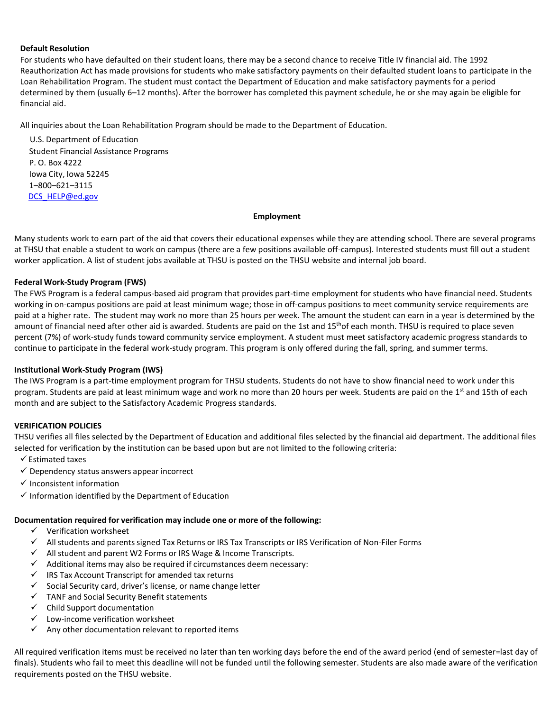### **Default Resolution**

For students who have defaulted on their student loans, there may be a second chance to receive Title IV financial aid. The 1992 Reauthorization Act has made provisions for students who make satisfactory payments on their defaulted student loans to participate in the Loan Rehabilitation Program. The student must contact the Department of Education and make satisfactory payments for a period determined by them (usually 6–12 months). After the borrower has completed this payment schedule, he or she may again be eligible for financial aid.

All inquiries about the Loan Rehabilitation Program should be made to the Department of Education.

U.S. Department of Education Student Financial Assistance Programs P. O. Box 4222 Iowa City, Iowa 52245 1–800–621–3115 [DCS\\_HELP@ed.gov](mailto:DCS_HELP@ed.gov)

#### **Employment**

Many students work to earn part of the aid that covers their educational expenses while they are attending school. There are several programs at THSU that enable a student to work on campus (there are a few positions available off-campus). Interested students must fill out a student worker application. A list of student jobs available at THSU is posted on the THSU website and internal job board.

# **Federal Work-Study Program (FWS)**

The FWS Program is a federal campus-based aid program that provides part-time employment for students who have financial need. Students working in on-campus positions are paid at least minimum wage; those in off-campus positions to meet community service requirements are paid at a higher rate. The student may work no more than 25 hours per week. The amount the student can earn in a year is determined by the amount of financial need after other aid is awarded. Students are paid on the 1st and 15<sup>th</sup>of each month. THSU is required to place seven percent (7%) of work-study funds toward community service employment. A student must meet satisfactory academic progress standards to continue to participate in the federal work-study program. This program is only offered during the fall, spring, and summer terms.

# **Institutional Work-Study Program (IWS)**

The IWS Program is a part-time employment program for THSU students. Students do not have to show financial need to work under this program. Students are paid at least minimum wage and work no more than 20 hours per week. Students are paid on the 1<sup>st</sup> and 15th of each month and are subject to the Satisfactory Academic Progress standards.

# **VERIFICATION POLICIES**

THSU verifies all files selected by the Department of Education and additional files selected by the financial aid department. The additional files selected for verification by the institution can be based upon but are not limited to the following criteria:

- $\checkmark$  Estimated taxes
- $\checkmark$  Dependency status answers appear incorrect
- $\checkmark$  Inconsistent information
- $\checkmark$  Information identified by the Department of Education

#### **Documentation required for verification may include one or more of the following:**

- $\checkmark$  Verification worksheet
- $\checkmark$  All students and parents signed Tax Returns or IRS Tax Transcripts or IRS Verification of Non-Filer Forms
- $\checkmark$  All student and parent W2 Forms or IRS Wage & Income Transcripts.
- $\checkmark$  Additional items may also be required if circumstances deem necessary:
- $\checkmark$  IRS Tax Account Transcript for amended tax returns
- $\checkmark$  Social Security card, driver's license, or name change letter
- $\checkmark$  TANF and Social Security Benefit statements
- $\checkmark$  Child Support documentation
- $\checkmark$  Low-income verification worksheet
- $\checkmark$  Any other documentation relevant to reported items

All required verification items must be received no later than ten working days before the end of the award period (end of semester=last day of finals). Students who fail to meet this deadline will not be funded until the following semester. Students are also made aware of the verification requirements posted on the THSU website.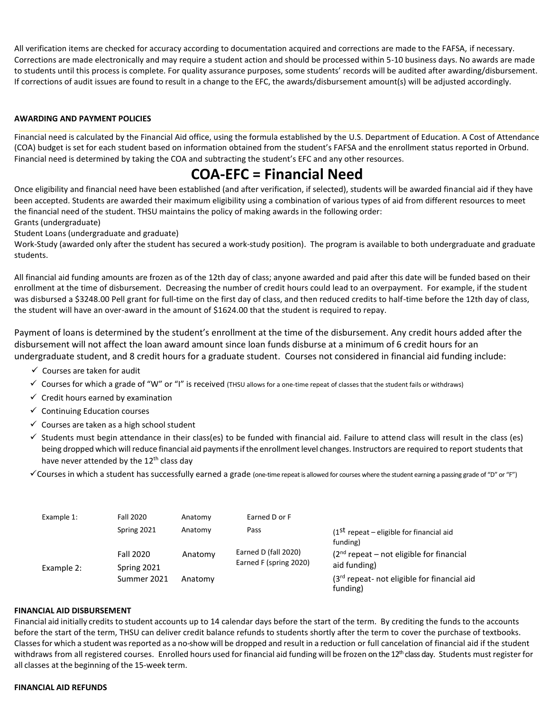All verification items are checked for accuracy according to documentation acquired and corrections are made to the FAFSA, if necessary. Corrections are made electronically and may require a student action and should be processed within 5-10 business days. No awards are made to students until this process is complete. For quality assurance purposes, some students' records will be audited after awarding/disbursement. If corrections of audit issues are found to result in a change to the EFC, the awards/disbursement amount(s) will be adjusted accordingly.

# **AWARDING AND PAYMENT POLICIES**

Financial need is calculated by the Financial Aid office, using the formula established by the U.S. Department of Education. A Cost of Attendance (COA) budget is set for each student based on information obtained from the student's FAFSA and the enrollment status reported in Orbund. Financial need is determined by taking the COA and subtracting the student's EFC and any other resources.

# **COA-EFC = Financial Need**

Once eligibility and financial need have been established (and after verification, if selected), students will be awarded financial aid if they have been accepted. Students are awarded their maximum eligibility using a combination of various types of aid from different resources to meet the financial need of the student. THSU maintains the policy of making awards in the following order:

Grants (undergraduate)

Student Loans (undergraduate and graduate)

Work-Study (awarded only after the student has secured a work-study position). The program is available to both undergraduate and graduate students.

All financial aid funding amounts are frozen as of the 12th day of class; anyone awarded and paid after this date will be funded based on their enrollment at the time of disbursement. Decreasing the number of credit hours could lead to an overpayment. For example, if the student was disbursed a \$3248.00 Pell grant for full-time on the first day of class, and then reduced credits to half-time before the 12th day of class, the student will have an over-award in the amount of \$1624.00 that the student is required to repay.

Payment of loans is determined by the student's enrollment at the time of the disbursement. Any credit hours added after the disbursement will not affect the loan award amount since loan funds disburse at a minimum of 6 credit hours for an undergraduate student, and 8 credit hours for a graduate student. Courses not considered in financial aid funding include:

- $\checkmark$  Courses are taken for audit
- $\checkmark$  Courses for which a grade of "W" or "I" is received (THSU allows for a one-time repeat of classes that the student fails or withdraws)
- $\checkmark$  Credit hours earned by examination
- $\checkmark$  Continuing Education courses
- $\checkmark$  Courses are taken as a high school student
- $\checkmark$  Students must begin attendance in their class(es) to be funded with financial aid. Failure to attend class will result in the class (es) being dropped which will reduce financial aid payments if the enrollment level changes. Instructors are required to report students that have never attended by the 12<sup>th</sup> class day
- Courses in which a student has successfully earned a grade (one-time repeat is allowed for courses where the student earning a passing grade of "D" or "F")

| Example 1: | <b>Fall 2020</b> | Anatomy | Earned D or F                                  |                                                           |
|------------|------------------|---------|------------------------------------------------|-----------------------------------------------------------|
|            | Spring 2021      | Anatomy | Pass                                           | $(1ST$ repeat – eligible for financial aid<br>funding)    |
|            | <b>Fall 2020</b> | Anatomy | Earned D (fall 2020)<br>Earned F (spring 2020) | $(2nd repeat - not eligible for financial)$               |
| Example 2: | Spring 2021      |         |                                                | aid funding)                                              |
|            | Summer 2021      | Anatomy |                                                | $(3rd$ repeat- not eligible for financial aid<br>funding) |

#### **FINANCIAL AID DISBURSEMENT**

Financial aid initially credits to student accounts up to 14 calendar days before the start of the term. By crediting the funds to the accounts before the start of the term, THSU can deliver credit balance refunds to students shortly after the term to cover the purchase of textbooks. Classesfor which a student wasreported as a no-show will be dropped and result in a reduction or full cancelation of financial aid if the student withdraws from all registered courses. Enrolled hours used for financial aid funding will be frozen on the  $12<sup>th</sup>$  class day. Students must register for all classes at the beginning of the 15-week term.

#### **FINANCIAL AID REFUNDS**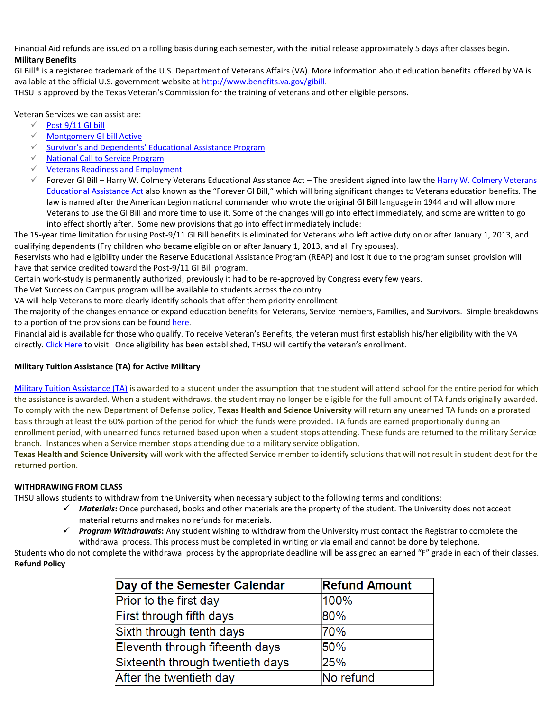Financial Aid refunds are issued on a rolling basis during each semester, with the initial release approximately 5 days after classes begin. **Military Benefits**

GI Bill® is a registered trademark of the U.S. Department of Veterans Affairs (VA). More information about education benefits offered by VA is available at the official U.S. government website at [http://www.benefits.va.gov/gibill.](http://www.benefits.va.gov/gibill)

THSU is approved by the Texas Veteran's Commission for the training of veterans and other eligible persons.

Veteran Services we can assist are:

- $\checkmark$  [Post 9/11 GI bill](https://www.benefits.va.gov/GIBILL/resources/benefits_resources/rates/ch33/ch33rates080116.asp)
- [Montgomery GI bill Active](https://www.va.gov/education/about-gi-bill-benefits/)
- $\checkmark$  [Survivor's and Dependents' Educati](https://www.va.gov/education/survivor-dependent-benefits/)onal Assistance Program
- $\sqrt{ }$  [National Call to Service Program](https://www.va.gov/education/other-va-education-benefits/national-call-to-service-program/)
- $\checkmark$  [Veterans Readiness and Employment](https://www.va.gov/careers-employment/vocational-rehabilitation/eligibility/)
- Forever GI Bill Harry W. Colmery Veterans Educational Assistance Act The president signed into law the [Harry W. Colmery Veterans](https://www.congress.gov/bill/115th-congress/house-bill/3218/text?q=%7B%22search%22%3A%5B%22hr+3218%22%5D%7D&r=1)  [Educational Assistance Act](https://www.congress.gov/bill/115th-congress/house-bill/3218/text?q=%7B%22search%22%3A%5B%22hr+3218%22%5D%7D&r=1) also known as the "Forever GI Bill," which will bring significant changes to Veterans education benefits. The law is named after the American Legion national commander who wrote the original GI Bill language in 1944 and will allow more Veterans to use the GI Bill and more time to use it. Some of the changes will go into effect immediately, and some are written to go into effect shortly after. Some new provisions that go into effect immediately include:

The 15-year time limitation for using Post-9/11 GI Bill benefits is eliminated for Veterans who left active duty on or after January 1, 2013, and qualifying dependents (Fry children who became eligible on or after January 1, 2013, and all Fry spouses).

Reservists who had eligibility under the Reserve Educational Assistance Program (REAP) and lost it due to the program sunset provision will have that service credited toward the Post-9/11 GI Bill program.

Certain work-study is permanently authorized; previously it had to be re-approved by Congress every few years.

The Vet Success on Campus program will be available to students across the country

VA will help Veterans to more clearly identify schools that offer them priority enrollment

The majority of the changes enhance or expand education benefits for Veterans, Service members, Families, and Survivors. Simple breakdowns to a portion of the provisions can be found [here.](https://www.benefits.va.gov/GIBILL/FGIBSummaries.asp)

Financial aid is available for those who qualify. To receive Veteran's Benefits, the veteran must first establish his/her eligibility with the VA directly. [Click Here](http://www.gibill.va.gov/apply-for-benefits/) to visit. Once eligibility has been established, THSU will certify the veteran's enrollment.

# **Military Tuition Assistance (TA) for Active Military**

[Military Tuition Assistance \(TA\)](https://www.military.com/education/money-for-school/tuition-assistance-ta-program-overview.html) is awarded to a student under the assumption that the student will attend school for the entire period for which the assistance is awarded. When a student withdraws, the student may no longer be eligible for the full amount of TA funds originally awarded. To comply with the new Department of Defense policy, **Texas Health and Science University** will return any unearned TA funds on a prorated basis through at least the 60% portion of the period for which the funds were provided. TA funds are earned proportionally during an enrollment period, with unearned funds returned based upon when a student stops attending. These funds are returned to the military Service branch. Instances when a Service member stops attending due to a military service obligation,

**Texas Health and Science University** will work with the affected Service member to identify solutions that will not result in student debt for the returned portion.

# **WITHDRAWING FROM CLASS**

THSU allows students to withdraw from the University when necessary subject to the following terms and conditions:

- *Materials***:** Once purchased, books and other materials are the property of the student. The University does not accept material returns and makes no refunds for materials.
- *Program Withdrawals***:** Any student wishing to withdraw from the University must contact the Registrar to complete the withdrawal process. This process must be completed in writing or via email and cannot be done by telephone.

Students who do not complete the withdrawal process by the appropriate deadline will be assigned an earned "F" grade in each of their classes. **Refund Policy**

| Day of the Semester Calendar     | <b>Refund Amount</b> |
|----------------------------------|----------------------|
| Prior to the first day           | 100%                 |
| First through fifth days         | 80%                  |
| Sixth through tenth days         | 70%                  |
| Eleventh through fifteenth days  | 50%                  |
| Sixteenth through twentieth days | 25%                  |
| After the twentieth day          | No refund            |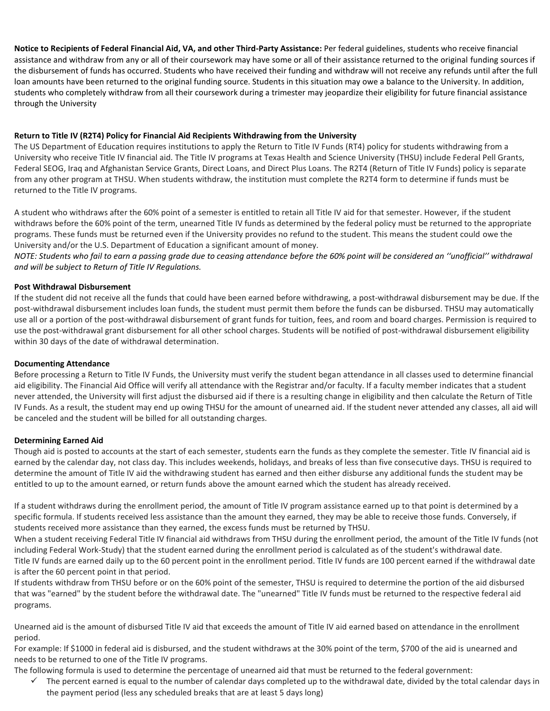**Notice to Recipients of Federal Financial Aid, VA, and other Third-Party Assistance:** Per federal guidelines, students who receive financial assistance and withdraw from any or all of their coursework may have some or all of their assistance returned to the original funding sources if the disbursement of funds has occurred. Students who have received their funding and withdraw will not receive any refunds until after the full loan amounts have been returned to the original funding source. Students in this situation may owe a balance to the University. In addition, students who completely withdraw from all their coursework during a trimester may jeopardize their eligibility for future financial assistance through the University

# **Return to Title IV (R2T4) Policy for Financial Aid Recipients Withdrawing from the University**

The US Department of Education requires institutions to apply the Return to Title IV Funds (RT4) policy for students withdrawing from a University who receive Title IV financial aid. The Title IV programs at Texas Health and Science University (THSU) include Federal Pell Grants, Federal SEOG, Iraq and Afghanistan Service Grants, Direct Loans, and Direct Plus Loans. The R2T4 (Return of Title IV Funds) policy is separate from any other program at THSU. When students withdraw, the institution must complete the R2T4 form to determine if funds must be returned to the Title IV programs.

A student who withdraws after the 60% point of a semester is entitled to retain all Title IV aid for that semester. However, if the student withdraws before the 60% point of the term, unearned Title IV funds as determined by the federal policy must be returned to the appropriate programs. These funds must be returned even if the University provides no refund to the student. This means the student could owe the University and/or the U.S. Department of Education a significant amount of money.

*NOTE: Students who fail to earn a passing grade due to ceasing attendance before the 60% point will be considered an "unofficial" withdrawal and will be subject to Return of Title IV Regulations.*

# **Post Withdrawal Disbursement**

If the student did not receive all the funds that could have been earned before withdrawing, a post-withdrawal disbursement may be due. If the post-withdrawal disbursement includes loan funds, the student must permit them before the funds can be disbursed. THSU may automatically use all or a portion of the post-withdrawal disbursement of grant funds for tuition, fees, and room and board charges. Permission is required to use the post-withdrawal grant disbursement for all other school charges. Students will be notified of post-withdrawal disbursement eligibility within 30 days of the date of withdrawal determination.

# **Documenting Attendance**

Before processing a Return to Title IV Funds, the University must verify the student began attendance in all classes used to determine financial aid eligibility. The Financial Aid Office will verify all attendance with the Registrar and/or faculty. If a faculty member indicates that a student never attended, the University will first adjust the disbursed aid if there is a resulting change in eligibility and then calculate the Return of Title IV Funds. As a result, the student may end up owing THSU for the amount of unearned aid. If the student never attended any classes, all aid will be canceled and the student will be billed for all outstanding charges.

# **Determining Earned Aid**

Though aid is posted to accounts at the start of each semester, students earn the funds as they complete the semester. Title IV financial aid is earned by the calendar day, not class day. This includes weekends, holidays, and breaks of less than five consecutive days. THSU is required to determine the amount of Title IV aid the withdrawing student has earned and then either disburse any additional funds the student may be entitled to up to the amount earned, or return funds above the amount earned which the student has already received.

If a student withdraws during the enrollment period, the amount of Title IV program assistance earned up to that point is determined by a specific formula. If students received less assistance than the amount they earned, they may be able to receive those funds. Conversely, if students received more assistance than they earned, the excess funds must be returned by THSU.

When a student receiving Federal Title IV financial aid withdraws from THSU during the enrollment period, the amount of the Title IV funds (not including Federal Work-Study) that the student earned during the enrollment period is calculated as of the student's withdrawal date. Title IV funds are earned daily up to the 60 percent point in the enrollment period. Title IV funds are 100 percent earned if the withdrawal date is after the 60 percent point in that period.

If students withdraw from THSU before or on the 60% point of the semester, THSU is required to determine the portion of the aid disbursed that was "earned" by the student before the withdrawal date. The "unearned" Title IV funds must be returned to the respective federal aid programs.

Unearned aid is the amount of disbursed Title IV aid that exceeds the amount of Title IV aid earned based on attendance in the enrollment period.

For example: If \$1000 in federal aid is disbursed, and the student withdraws at the 30% point of the term, \$700 of the aid is unearned and needs to be returned to one of the Title IV programs.

The following formula is used to determine the percentage of unearned aid that must be returned to the federal government:

 $\checkmark$  The percent earned is equal to the number of calendar days completed up to the withdrawal date, divided by the total calendar days in the payment period (less any scheduled breaks that are at least 5 days long)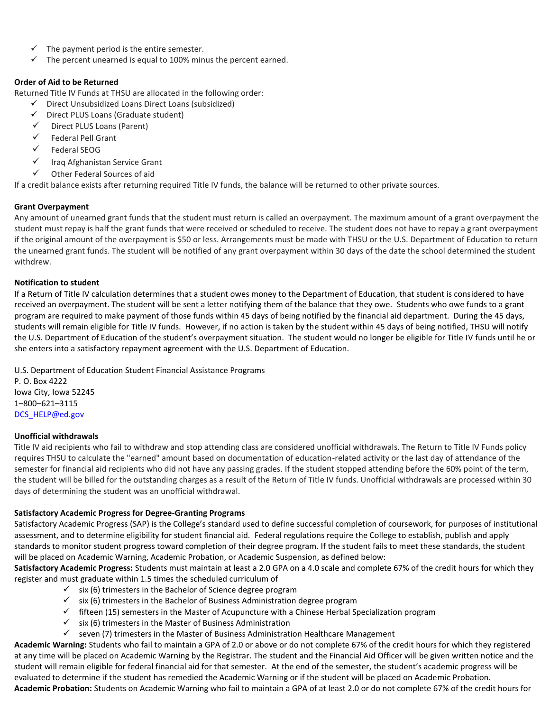- The payment period is the entire semester.
- $\checkmark$  The percent unearned is equal to 100% minus the percent earned.

# **Order of Aid to be Returned**

Returned Title IV Funds at THSU are allocated in the following order:

- Direct Unsubsidized Loans Direct Loans (subsidized)
- $\checkmark$  Direct PLUS Loans (Graduate student)
- $\checkmark$  Direct PLUS Loans (Parent)
- $\checkmark$  Federal Pell Grant
- $\checkmark$  Federal SEOG
- Iraq Afghanistan Service Grant
- $\checkmark$  Other Federal Sources of aid

If a credit balance exists after returning required Title IV funds, the balance will be returned to other private sources.

# **Grant Overpayment**

Any amount of unearned grant funds that the student must return is called an overpayment. The maximum amount of a grant overpayment the student must repay is half the grant funds that were received or scheduled to receive. The student does not have to repay a grant overpayment if the original amount of the overpayment is \$50 or less. Arrangements must be made with THSU or the U.S. Department of Education to return the unearned grant funds. The student will be notified of any grant overpayment within 30 days of the date the school determined the student withdrew.

# **Notification to student**

If a Return of Title IV calculation determines that a student owes money to the Department of Education, that student is considered to have received an overpayment. The student will be sent a letter notifying them of the balance that they owe. Students who owe funds to a grant program are required to make payment of those funds within 45 days of being notified by the financial aid department. During the 45 days, students will remain eligible for Title IV funds. However, if no action is taken by the student within 45 days of being notified, THSU will notify the U.S. Department of Education of the student's overpayment situation. The student would no longer be eligible for Title IV funds until he or she enters into a satisfactory repayment agreement with the U.S. Department of Education.

U.S. Department of Education Student Financial Assistance Programs P. O. Box 4222 Iowa City, Iowa 52245 1–800–621–3115 DCS\_HELP@ed.gov

# **Unofficial withdrawals**

Title IV aid recipients who fail to withdraw and stop attending class are considered unofficial withdrawals. The Return to Title IV Funds policy requires THSU to calculate the "earned" amount based on documentation of education-related activity or the last day of attendance of the semester for financial aid recipients who did not have any passing grades. If the student stopped attending before the 60% point of the term, the student will be billed for the outstanding charges as a result of the Return of Title IV funds. Unofficial withdrawals are processed within 30 days of determining the student was an unofficial withdrawal.

# **Satisfactory Academic Progress for Degree-Granting Programs**

Satisfactory Academic Progress (SAP) is the College's standard used to define successful completion of coursework, for purposes of institutional assessment, and to determine eligibility for student financial aid. Federal regulations require the College to establish, publish and apply standards to monitor student progress toward completion of their degree program. If the student fails to meet these standards, the student will be placed on Academic Warning, Academic Probation, or Academic Suspension, as defined below:

**Satisfactory Academic Progress:** Students must maintain at least a 2.0 GPA on a 4.0 scale and complete 67% of the credit hours for which they register and must graduate within 1.5 times the scheduled curriculum of

- $\checkmark$  six (6) trimesters in the Bachelor of Science degree program
- $\checkmark$  six (6) trimesters in the Bachelor of Business Administration degree program
- $\checkmark$  fifteen (15) semesters in the Master of Acupuncture with a Chinese Herbal Specialization program
- $\checkmark$  six (6) trimesters in the Master of Business Administration
- $\checkmark$  seven (7) trimesters in the Master of Business Administration Healthcare Management

**Academic Warning:** Students who fail to maintain a GPA of 2.0 or above or do not complete 67% of the credit hours for which they registered at any time will be placed on Academic Warning by the Registrar. The student and the Financial Aid Officer will be given written notice and the student will remain eligible for federal financial aid for that semester. At the end of the semester, the student's academic progress will be evaluated to determine if the student has remedied the Academic Warning or if the student will be placed on Academic Probation. **Academic Probation:** Students on Academic Warning who fail to maintain a GPA of at least 2.0 or do not complete 67% of the credit hours for